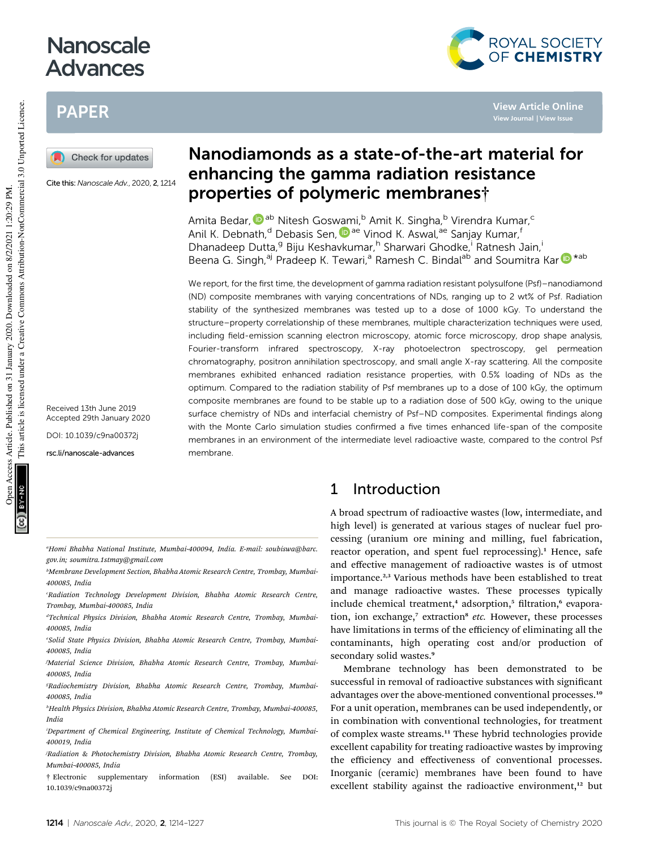# Nanoscale Advances

# PAPER



Cite this: Nanoscale Adv., 2020, 2, 1214

Received 13th June 2019 Accepted 29th January 2020

DOI: 10.1039/c9na00372j

rsc.li/nanoscale-advances

## Nanodiamonds as a state-of-the-art material for enhancing the gamma radiation resistance properties of polymeric membranes†

**View Article Online View Journal | View Issue**

ROYAL SOCIETY<br>OF CHEMISTRY

Amita Bedar, <sup>(Dab</sup> Nitesh Goswami,<sup>b</sup> Amit K. Singha,<sup>b</sup> Virendra Kumar,<sup>c</sup> Anil K. Debnath,<sup>d</sup> Debasis Sen, D<sup>ae</sup> Vinod K. Aswal, ae Sanjay Kumar,<sup>f</sup> Dhanadeep Dutta,<sup>g</sup> Biju Keshavkumar,<sup>h</sup> Sharwari Ghodke, Ratnesh Jain, Beena G. Singh,<sup>aj</sup> Pradeep K. Tewari,<sup>a</sup> Ramesh C. Bindal<sup>ab</sup> and Soumitra Kar D<sup>\*ab</sup>

We report, for the first time, the development of gamma radiation resistant polysulfone (Psf)-nanodiamond (ND) composite membranes with varying concentrations of NDs, ranging up to 2 wt% of Psf. Radiation stability of the synthesized membranes was tested up to a dose of 1000 kGy. To understand the structure–property correlationship of these membranes, multiple characterization techniques were used, including field-emission scanning electron microscopy, atomic force microscopy, drop shape analysis, Fourier-transform infrared spectroscopy, X-ray photoelectron spectroscopy, gel permeation chromatography, positron annihilation spectroscopy, and small angle X-ray scattering. All the composite membranes exhibited enhanced radiation resistance properties, with 0.5% loading of NDs as the optimum. Compared to the radiation stability of Psf membranes up to a dose of 100 kGy, the optimum composite membranes are found to be stable up to a radiation dose of 500 kGy, owing to the unique surface chemistry of NDs and interfacial chemistry of Psf–ND composites. Experimental findings along with the Monte Carlo simulation studies confirmed a five times enhanced life-span of the composite membranes in an environment of the intermediate level radioactive waste, compared to the control Psf membrane.

*<sup>a</sup>Homi Bhabha National Institute, Mumbai-400094, India. E-mail: soubiswa@barc. gov.in; soumitra.1stmay@gmail.com*

*bMembrane Development Section, Bhabha Atomic Research Centre, Trombay, Mumbai-400085, India*

*<sup>c</sup>Radiation Technology Development Division, Bhabha Atomic Research Centre, Trombay, Mumbai-400085, India*

*dTechnical Physics Division, Bhabha Atomic Research Centre, Trombay, Mumbai-400085, India*

*eSolid State Physics Division, Bhabha Atomic Research Centre, Trombay, Mumbai-400085, India*

*fMaterial Science Division, Bhabha Atomic Research Centre, Trombay, Mumbai-400085, India*

*gRadiochemistry Division, Bhabha Atomic Research Centre, Trombay, Mumbai-400085, India*

*<sup>h</sup>Health Physics Division, Bhabha Atomic Research Centre, Trombay, Mumbai-400085, India*

*iDepartment of Chemical Engineering, Institute of Chemical Technology, Mumbai-400019, India*

*<sup>j</sup>Radiation & Photochemistry Division, Bhabha Atomic Research Centre, Trombay, Mumbai-400085, India*

† Electronic supplementary information (ESI) available. See DOI: 10.1039/c9na00372j

## 1 Introduction

A broad spectrum of radioactive wastes (low, intermediate, and high level) is generated at various stages of nuclear fuel processing (uranium ore mining and milling, fuel fabrication, reactor operation, and spent fuel reprocessing).<sup>1</sup> Hence, safe and effective management of radioactive wastes is of utmost importance.<sup>2,3</sup> Various methods have been established to treat and manage radioactive wastes. These processes typically include chemical treatment,<sup>4</sup> adsorption,<sup>5</sup> filtration,<sup>6</sup> evaporation, ion exchange,<sup>7</sup> extraction<sup>8</sup> etc. However, these processes have limitations in terms of the efficiency of eliminating all the contaminants, high operating cost and/or production of secondary solid wastes.<sup>9</sup>

Membrane technology has been demonstrated to be successful in removal of radioactive substances with significant advantages over the above-mentioned conventional processes.<sup>10</sup> For a unit operation, membranes can be used independently, or in combination with conventional technologies, for treatment of complex waste streams.<sup>11</sup> These hybrid technologies provide excellent capability for treating radioactive wastes by improving the efficiency and effectiveness of conventional processes. Inorganic (ceramic) membranes have been found to have excellent stability against the radioactive environment,<sup>12</sup> but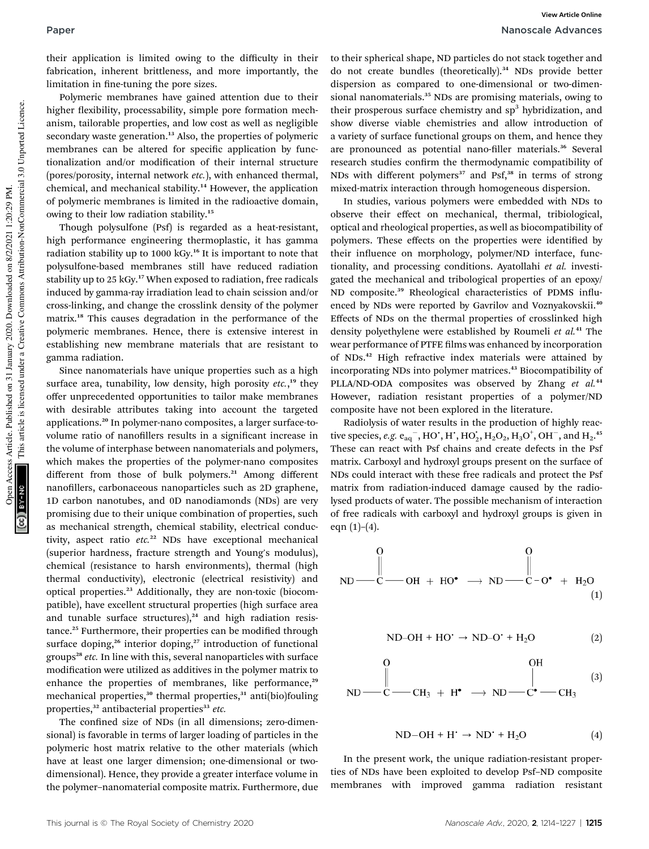their application is limited owing to the difficulty in their fabrication, inherent brittleness, and more importantly, the limitation in fine-tuning the pore sizes.

Polymeric membranes have gained attention due to their higher flexibility, processability, simple pore formation mechanism, tailorable properties, and low cost as well as negligible secondary waste generation.<sup>13</sup> Also, the properties of polymeric membranes can be altered for specific application by functionalization and/or modification of their internal structure (pores/porosity, internal network *etc.*), with enhanced thermal, chemical, and mechanical stability.<sup>14</sup> However, the application of polymeric membranes is limited in the radioactive domain, owing to their low radiation stability.<sup>15</sup>

Though polysulfone (Psf) is regarded as a heat-resistant, high performance engineering thermoplastic, it has gamma radiation stability up to 1000 kGy.<sup>16</sup> It is important to note that polysulfone-based membranes still have reduced radiation stability up to 25 kGy.<sup>17</sup> When exposed to radiation, free radicals induced by gamma-ray irradiation lead to chain scission and/or cross-linking, and change the crosslink density of the polymer matrix.<sup>18</sup> This causes degradation in the performance of the polymeric membranes. Hence, there is extensive interest in establishing new membrane materials that are resistant to gamma radiation.

Since nanomaterials have unique properties such as a high surface area, tunability, low density, high porosity *etc.*, <sup>19</sup> they offer unprecedented opportunities to tailor make membranes with desirable attributes taking into account the targeted applications.<sup>20</sup> In polymer-nano composites, a larger surface-tovolume ratio of nanofillers results in a significant increase in the volume of interphase between nanomaterials and polymers, which makes the properties of the polymer-nano composites different from those of bulk polymers.<sup>21</sup> Among different nanofillers, carbonaceous nanoparticles such as 2D graphene, 1D carbon nanotubes, and 0D nanodiamonds (NDs) are very promising due to their unique combination of properties, such as mechanical strength, chemical stability, electrical conductivity, aspect ratio *etc.*<sup>22</sup> NDs have exceptional mechanical (superior hardness, fracture strength and Young's modulus), chemical (resistance to harsh environments), thermal (high thermal conductivity), electronic (electrical resistivity) and optical properties.<sup>23</sup> Additionally, they are non-toxic (biocompatible), have excellent structural properties (high surface area and tunable surface structures), $24$  and high radiation resistance.<sup>25</sup> Furthermore, their properties can be modified through surface doping,<sup>26</sup> interior doping,<sup>27</sup> introduction of functional groups<sup>28</sup> etc. In line with this, several nanoparticles with surface modification were utilized as additives in the polymer matrix to enhance the properties of membranes, like performance,<sup>29</sup> mechanical properties,<sup>30</sup> thermal properties,<sup>31</sup> anti(bio)fouling properties,<sup>32</sup> antibacterial properties<sup>33</sup> etc.

The confined size of NDs (in all dimensions; zero-dimensional) is favorable in terms of larger loading of particles in the polymeric host matrix relative to the other materials (which have at least one larger dimension; one-dimensional or twodimensional). Hence, they provide a greater interface volume in the polymer–nanomaterial composite matrix. Furthermore, due

to their spherical shape, ND particles do not stack together and do not create bundles (theoretically).<sup>34</sup> NDs provide better dispersion as compared to one-dimensional or two-dimensional nanomaterials.<sup>35</sup> NDs are promising materials, owing to their prosperous surface chemistry and sp<sup>3</sup> hybridization, and show diverse viable chemistries and allow introduction of a variety of surface functional groups on them, and hence they are pronounced as potential nano-filler materials.<sup>36</sup> Several research studies confirm the thermodynamic compatibility of NDs with different polymers<sup>37</sup> and Psf, $38$  in terms of strong mixed-matrix interaction through homogeneous dispersion.

In studies, various polymers were embedded with NDs to observe their effect on mechanical, thermal, tribiological, optical and rheological properties, as well as biocompatibility of polymers. These effects on the properties were identified by their influence on morphology, polymer/ND interface, functionality, and processing conditions. Ayatollahi *et al.* investigated the mechanical and tribological properties of an epoxy/ ND composite.<sup>39</sup> Rheological characteristics of PDMS influenced by NDs were reported by Gavrilov and Voznyakovskii.<sup>40</sup> Effects of NDs on the thermal properties of crosslinked high density polyethylene were established by Roumeli *et al.*<sup>41</sup> The wear performance of PTFE films was enhanced by incorporation of NDs.<sup>42</sup> High refractive index materials were attained by incorporating NDs into polymer matrices.<sup>43</sup> Biocompatibility of PLLA/ND-ODA composites was observed by Zhang *et al.*<sup>44</sup> However, radiation resistant properties of a polymer/ND composite have not been explored in the literature.

Radiolysis of water results in the production of highly reactive species, *e.g.*  $e_{aq}^-$ , HO', H', HO<sub>2</sub>, H<sub>2</sub>O<sub>2</sub>, H<sub>3</sub>O<sup>+</sup>, OH<sup>-</sup>, and H<sub>2</sub>.<sup>45</sup> These can react with Psf chains and create defects in the Psf matrix. Carboxyl and hydroxyl groups present on the surface of NDs could interact with these free radicals and protect the Psf matrix from radiation-induced damage caused by the radiolysed products of water. The possible mechanism of interaction of free radicals with carboxyl and hydroxyl groups is given in eqn  $(1)$ – $(4)$ .

$$
\begin{array}{ccc}\n0 & 0 \\
\parallel & \parallel \\
\hline\n\text{ND} & -\text{CH} + \text{HO}^{\bullet} \rightarrow \text{ND} & -\text{C}-\text{O}^{\bullet} + \text{H}_{2}\text{O} \\
\parallel & & \\
\end{array}
$$

$$
ND-OH + HO' \rightarrow ND-O' + H_2O
$$
 (2)

$$
\begin{array}{ccc}\n\stackrel{\mathsf{OP}}{\parallel} & & \stackrel{\mathsf{OP}}{\parallel} \\
\mathsf{ND} \longrightarrow \mathsf{CH}_3 + \mathsf{H}^{\bullet} \longrightarrow \mathsf{ND} \longrightarrow \mathsf{C}^{\bullet} \longrightarrow \mathsf{CH}_3\n\end{array} (3)
$$

$$
ND-OH + H' \rightarrow ND' + H_2O \tag{4}
$$

In the present work, the unique radiation-resistant properties of NDs have been exploited to develop Psf–ND composite membranes with improved gamma radiation resistant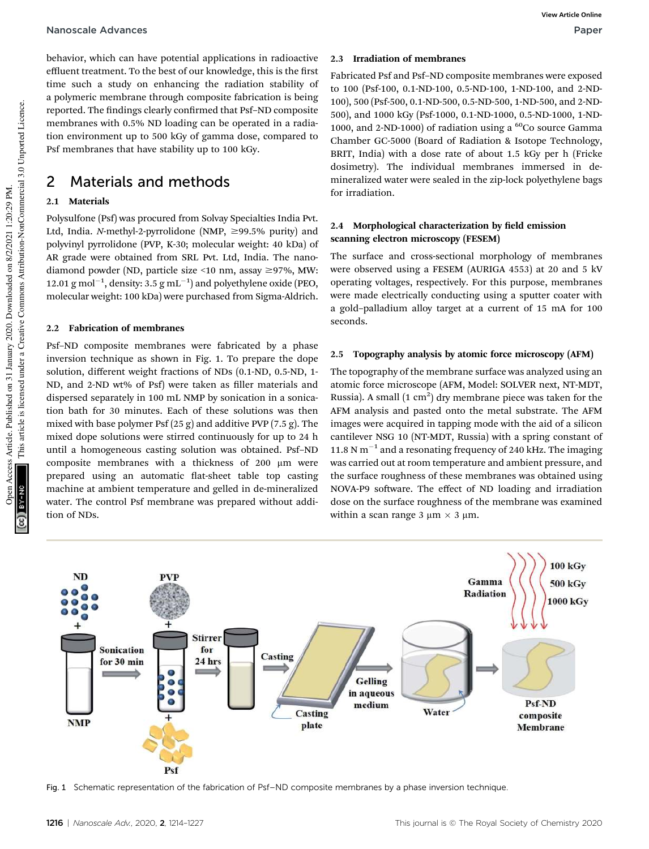#### Nanoscale Advances Paper

behavior, which can have potential applications in radioactive effluent treatment. To the best of our knowledge, this is the first time such a study on enhancing the radiation stability of a polymeric membrane through composite fabrication is being reported. The findings clearly confirmed that Psf-ND composite membranes with 0.5% ND loading can be operated in a radiation environment up to 500 kGy of gamma dose, compared to Psf membranes that have stability up to 100 kGy.

## 2 Materials and methods

### 2.1 Materials

Polysulfone (Psf) was procured from Solvay Specialties India Pvt. Ltd, India. *N*-methyl-2-pyrrolidone (NMP,  $\geq$ 99.5% purity) and polyvinyl pyrrolidone (PVP, K-30; molecular weight: 40 kDa) of AR grade were obtained from SRL Pvt. Ltd, India. The nanodiamond powder (ND, particle size <10 nm, assay  $\geq$ 97%, MW: 12.01 g mol<sup>-1</sup>, density: 3.5 g mL<sup>-1</sup>) and polyethylene oxide (PEO, molecular weight: 100 kDa) were purchased from Sigma-Aldrich.

#### 2.2 Fabrication of membranes

Psf–ND composite membranes were fabricated by a phase inversion technique as shown in Fig. 1. To prepare the dope solution, different weight fractions of NDs (0.1-ND, 0.5-ND, 1- ND, and 2-ND wt% of Psf) were taken as filler materials and dispersed separately in 100 mL NMP by sonication in a sonication bath for 30 minutes. Each of these solutions was then mixed with base polymer Psf (25 g) and additive PVP (7.5 g). The mixed dope solutions were stirred continuously for up to 24 h until a homogeneous casting solution was obtained. Psf–ND composite membranes with a thickness of 200 µm were prepared using an automatic flat-sheet table top casting machine at ambient temperature and gelled in de-mineralized water. The control Psf membrane was prepared without addition of NDs.

#### 2.3 Irradiation of membranes

Fabricated Psf and Psf–ND composite membranes were exposed to 100 (Psf-100, 0.1-ND-100, 0.5-ND-100, 1-ND-100, and 2-ND-100), 500 (Psf-500, 0.1-ND-500, 0.5-ND-500, 1-ND-500, and 2-ND-500), and 1000 kGy (Psf-1000, 0.1-ND-1000, 0.5-ND-1000, 1-ND-1000, and 2-ND-1000) of radiation using a <sup>60</sup>Co source Gamma Chamber GC-5000 (Board of Radiation & Isotope Technology, BRIT, India) with a dose rate of about 1.5 kGy per h (Fricke dosimetry). The individual membranes immersed in demineralized water were sealed in the zip-lock polyethylene bags for irradiation.

### 2.4 Morphological characterization by field emission scanning electron microscopy (FESEM)

The surface and cross-sectional morphology of membranes were observed using a FESEM (AURIGA 4553) at 20 and 5 kV operating voltages, respectively. For this purpose, membranes were made electrically conducting using a sputter coater with a gold–palladium alloy target at a current of 15 mA for 100 seconds.

#### 2.5 Topography analysis by atomic force microscopy (AFM)

The topography of the membrane surface was analyzed using an atomic force microscope (AFM, Model: SOLVER next, NT-MDT, Russia). A small  $(1 \text{ cm}^2)$  dry membrane piece was taken for the AFM analysis and pasted onto the metal substrate. The AFM images were acquired in tapping mode with the aid of a silicon cantilever NSG 10 (NT-MDT, Russia) with a spring constant of 11.8 N  $m^{-1}$  and a resonating frequency of 240 kHz. The imaging was carried out at room temperature and ambient pressure, and the surface roughness of these membranes was obtained using NOVA-P9 software. The effect of ND loading and irradiation dose on the surface roughness of the membrane was examined within a scan range 3  $\mu$ m  $\times$  3  $\mu$ m.



Fig. 1 Schematic representation of the fabrication of Psf–ND composite membranes by a phase inversion technique.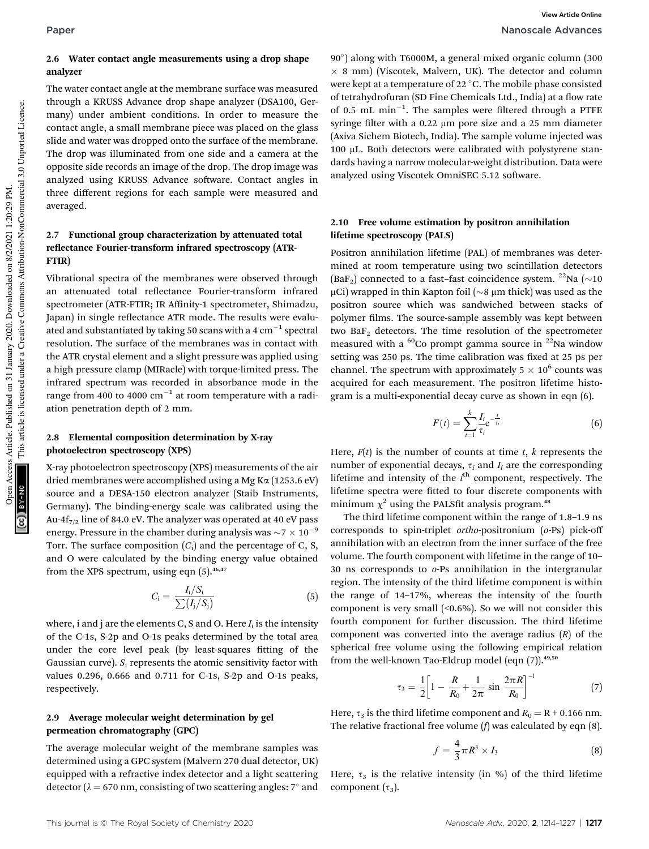#### 2.6 Water contact angle measurements using a drop shape analyzer

The water contact angle at the membrane surface was measured through a KRUSS Advance drop shape analyzer (DSA100, Germany) under ambient conditions. In order to measure the contact angle, a small membrane piece was placed on the glass slide and water was dropped onto the surface of the membrane. The drop was illuminated from one side and a camera at the opposite side records an image of the drop. The drop image was analyzed using KRUSS Advance software. Contact angles in three different regions for each sample were measured and averaged.

### 2.7 Functional group characterization by attenuated total reflectance Fourier-transform infrared spectroscopy (ATR-FTIR)

Vibrational spectra of the membranes were observed through an attenuated total reflectance Fourier-transform infrared spectrometer (ATR-FTIR; IR Affinity-1 spectrometer, Shimadzu, Japan) in single reflectance ATR mode. The results were evaluated and substantiated by taking 50 scans with a 4  $\rm cm^{-1}$  spectral resolution. The surface of the membranes was in contact with the ATR crystal element and a slight pressure was applied using a high pressure clamp (MIRacle) with torque-limited press. The infrared spectrum was recorded in absorbance mode in the range from 400 to 4000  $\rm cm^{-1}$  at room temperature with a radiation penetration depth of 2 mm.

#### 2.8 Elemental composition determination by X-ray photoelectron spectroscopy (XPS)

X-ray photoelectron spectroscopy (XPS) measurements of the air dried membranes were accomplished using a Mg K $\alpha$  (1253.6 eV) source and a DESA-150 electron analyzer (Staib Instruments, Germany). The binding-energy scale was calibrated using the Au-4f $_{7/2}$  line of 84.0 eV. The analyzer was operated at 40 eV pass energy. Pressure in the chamber during analysis was  $\sim$ 7  $\times$  10<sup>-9</sup> Torr. The surface composition  $(C_i)$  and the percentage of C, S, and O were calculated by the binding energy value obtained from the XPS spectrum, using eqn  $(5)$ .<sup>46,47</sup>

$$
C_{\rm i} = \frac{I_{\rm i}/S_{\rm i}}{\sum (I_{\rm j}/S_{\rm j})} \tag{5}
$$

where,  ${\rm i}$  and  ${\rm j}$  are the elements C, S and O. Here  $I_{\rm i}$  is the intensity of the C-1s, S-2p and O-1s peaks determined by the total area under the core level peak (by least-squares fitting of the Gaussian curve).  $S_i$  represents the atomic sensitivity factor with values 0.296, 0.666 and 0.711 for C-1s, S-2p and O-1s peaks, respectively.

#### 2.9 Average molecular weight determination by gel permeation chromatography (GPC)

The average molecular weight of the membrane samples was determined using a GPC system (Malvern 270 dual detector, UK) equipped with a refractive index detector and a light scattering detector ( $\lambda = 670$  nm, consisting of two scattering angles:  $7^{\circ}$  and

90 ) along with T6000M, a general mixed organic column (300  $\times$  8 mm) (Viscotek, Malvern, UK). The detector and column were kept at a temperature of 22 °C. The mobile phase consisted of tetrahydrofuran (SD Fine Chemicals Ltd., India) at a flow rate of 0.5 mL  $min^{-1}$ . The samples were filtered through a PTFE syringe filter with a 0.22  $\mu$ m pore size and a 25 mm diameter (Axiva Sichem Biotech, India). The sample volume injected was  $100 \mu L$ . Both detectors were calibrated with polystyrene standards having a narrow molecular-weight distribution. Data were analyzed using Viscotek OmniSEC 5.12 software.

### 2.10 Free volume estimation by positron annihilation lifetime spectroscopy (PALS)

Positron annihilation lifetime (PAL) of membranes was determined at room temperature using two scintillation detectors (BaF<sub>2</sub>) connected to a fast-fast coincidence system. <sup>22</sup>Na ( $\sim$ 10  $\mu$ Ci) wrapped in thin Kapton foil ( $\sim$ 8  $\mu$ m thick) was used as the positron source which was sandwiched between stacks of polymer films. The source-sample assembly was kept between two Ba $F_2$  detectors. The time resolution of the spectrometer measured with a  ${}^{60}$ Co prompt gamma source in  ${}^{22}$ Na window setting was 250 ps. The time calibration was fixed at 25 ps per channel. The spectrum with approximately  $5 \times 10^6$  counts was acquired for each measurement. The positron lifetime histogram is a multi-exponential decay curve as shown in eqn (6).

$$
F(t) = \sum_{i=1}^{k} \frac{I_i}{\tau_i} e^{-\frac{t}{\tau_i}}
$$
\n
$$
(6)
$$

Here,  $F(t)$  is the number of counts at time *t*, *k* represents the number of exponential decays,  $\tau_i$  and  $I_i$  are the corresponding lifetime and intensity of the *i*<sup>th</sup> component, respectively. The lifetime spectra were fitted to four discrete components with minimum  $\chi^2$  using the PALSfit analysis program.<sup>48</sup>

The third lifetime component within the range of 1.8–1.9 ns corresponds to spin-triplet *ortho*-positronium (*o*-Ps) pick-off annihilation with an electron from the inner surface of the free volume. The fourth component with lifetime in the range of 10– 30 ns corresponds to *o*-Ps annihilation in the intergranular region. The intensity of the third lifetime component is within the range of 14–17%, whereas the intensity of the fourth component is very small  $($ <0.6%). So we will not consider this fourth component for further discussion. The third lifetime component was converted into the average radius (*R*) of the spherical free volume using the following empirical relation from the well-known Tao-Eldrup model (eqn  $(7)$ ).<sup>49,50</sup>

$$
\tau_3 = \frac{1}{2} \bigg[ 1 - \frac{R}{R_0} + \frac{1}{2\pi} \sin \frac{2\pi R}{R_0} \bigg]^{-1} \tag{7}
$$

Here,  $\tau_3$  is the third lifetime component and  $R_0 = R + 0.166$  nm. The relative fractional free volume (*f*) was calculated by eqn (8).

$$
f = \frac{4}{3}\pi R^3 \times I_3 \tag{8}
$$

Here,  $\tau_3$  is the relative intensity (in %) of the third lifetime component  $(\tau_3)$ .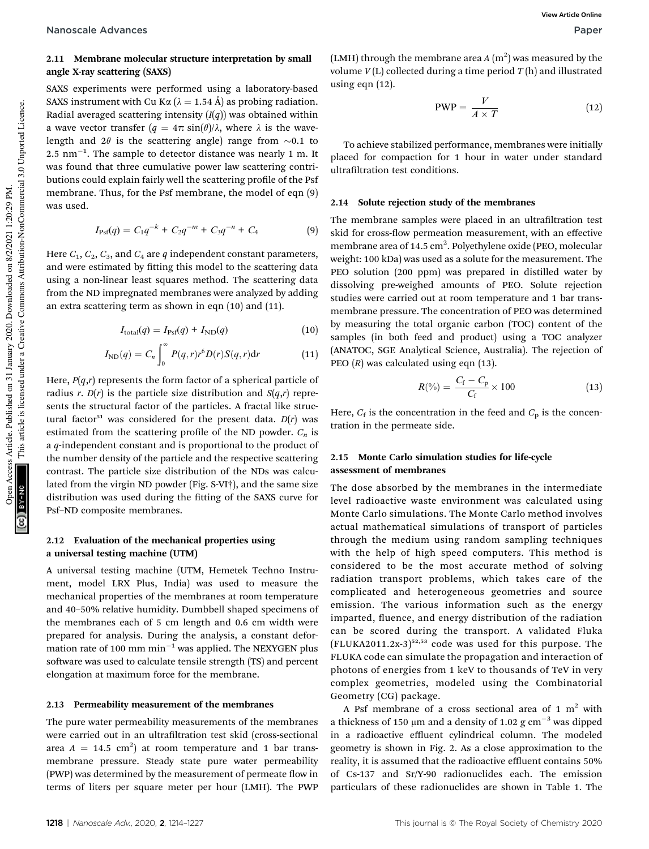### 2.11 Membrane molecular structure interpretation by small angle X-ray scattering (SAXS)

SAXS experiments were performed using a laboratory-based SAXS instrument with Cu K $\alpha$  ( $\lambda = 1.54$  Å) as probing radiation. Radial averaged scattering intensity (*I*(*q*)) was obtained within a wave vector transfer  $(q = 4\pi \sin(\theta)/\lambda)$ , where  $\lambda$  is the wavelength and  $2\theta$  is the scattering angle) range from  $\sim 0.1$  to  $2.5\ \mathrm{nm}^{-1}$ . The sample to detector distance was nearly 1 m. It was found that three cumulative power law scattering contributions could explain fairly well the scattering profile of the Psf membrane. Thus, for the Psf membrane, the model of eqn (9) was used.

$$
I_{\rm Psf}(q) = C_1 q^{-k} + C_2 q^{-m} + C_3 q^{-n} + C_4 \tag{9}
$$

Here  $C_1$ ,  $C_2$ ,  $C_3$ , and  $C_4$  are  $q$  independent constant parameters, and were estimated by fitting this model to the scattering data using a non-linear least squares method. The scattering data from the ND impregnated membranes were analyzed by adding an extra scattering term as shown in eqn (10) and (11).

$$
I_{\text{total}}(q) = I_{\text{Psf}}(q) + I_{\text{ND}}(q) \tag{10}
$$

$$
I_{ND}(q) = C_n \int_0^\infty P(q, r) r^6 D(r) S(q, r) dr \qquad (11)
$$

Here,  $P(q,r)$  represents the form factor of a spherical particle of radius *r*.  $D(r)$  is the particle size distribution and  $S(q,r)$  represents the structural factor of the particles. A fractal like structural factor<sup>51</sup> was considered for the present data.  $D(r)$  was estimated from the scattering profile of the ND powder.  $C_n$  is a *q*-independent constant and is proportional to the product of the number density of the particle and the respective scattering contrast. The particle size distribution of the NDs was calculated from the virgin ND powder (Fig. S-VI†), and the same size distribution was used during the fitting of the SAXS curve for Psf–ND composite membranes.

#### 2.12 Evaluation of the mechanical properties using a universal testing machine (UTM)

A universal testing machine (UTM, Hemetek Techno Instrument, model LRX Plus, India) was used to measure the mechanical properties of the membranes at room temperature and 40–50% relative humidity. Dumbbell shaped specimens of the membranes each of 5 cm length and 0.6 cm width were prepared for analysis. During the analysis, a constant deformation rate of 100 mm  $min^{-1}$  was applied. The NEXYGEN plus software was used to calculate tensile strength (TS) and percent elongation at maximum force for the membrane.

#### 2.13 Permeability measurement of the membranes

The pure water permeability measurements of the membranes were carried out in an ultrafiltration test skid (cross-sectional area  $A = 14.5$  cm<sup>2</sup>) at room temperature and 1 bar transmembrane pressure. Steady state pure water permeability (PWP) was determined by the measurement of permeate flow in terms of liters per square meter per hour (LMH). The PWP

(LMH) through the membrane area  $A(m^2)$  was measured by the volume *V* (L) collected during a time period *T* (h) and illustrated using eqn (12).

$$
PWP = \frac{V}{A \times T}
$$
 (12)

To achieve stabilized performance, membranes were initially placed for compaction for 1 hour in water under standard ultrafiltration test conditions.

#### 2.14 Solute rejection study of the membranes

The membrane samples were placed in an ultrafiltration test skid for cross-flow permeation measurement, with an effective membrane area of 14.5 cm<sup>2</sup>. Polyethylene oxide (PEO, molecular weight: 100 kDa) was used as a solute for the measurement. The PEO solution (200 ppm) was prepared in distilled water by dissolving pre-weighed amounts of PEO. Solute rejection studies were carried out at room temperature and 1 bar transmembrane pressure. The concentration of PEO was determined by measuring the total organic carbon (TOC) content of the samples (in both feed and product) using a TOC analyzer (ANATOC, SGE Analytical Science, Australia). The rejection of PEO (*R*) was calculated using eqn (13).

$$
R(\%) = \frac{C_{\rm f} - C_{\rm p}}{C_{\rm f}} \times 100 \tag{13}
$$

Here,  $C_f$  is the concentration in the feed and  $C_p$  is the concentration in the permeate side.

#### 2.15 Monte Carlo simulation studies for life-cycle assessment of membranes

The dose absorbed by the membranes in the intermediate level radioactive waste environment was calculated using Monte Carlo simulations. The Monte Carlo method involves actual mathematical simulations of transport of particles through the medium using random sampling techniques with the help of high speed computers. This method is considered to be the most accurate method of solving radiation transport problems, which takes care of the complicated and heterogeneous geometries and source emission. The various information such as the energy imparted, fluence, and energy distribution of the radiation can be scored during the transport. A validated Fluka  $(FLUKA2011.2x-3)^{52,53}$  code was used for this purpose. The FLUKA code can simulate the propagation and interaction of photons of energies from 1 keV to thousands of TeV in very complex geometries, modeled using the Combinatorial Geometry (CG) package.

A Psf membrane of a cross sectional area of 1  $m<sup>2</sup>$  with a thickness of 150  $\mu$ m and a density of 1.02 g cm<sup>-3</sup> was dipped in a radioactive effluent cylindrical column. The modeled geometry is shown in Fig. 2. As a close approximation to the reality, it is assumed that the radioactive effluent contains 50% of Cs-137 and Sr/Y-90 radionuclides each. The emission particulars of these radionuclides are shown in Table 1. The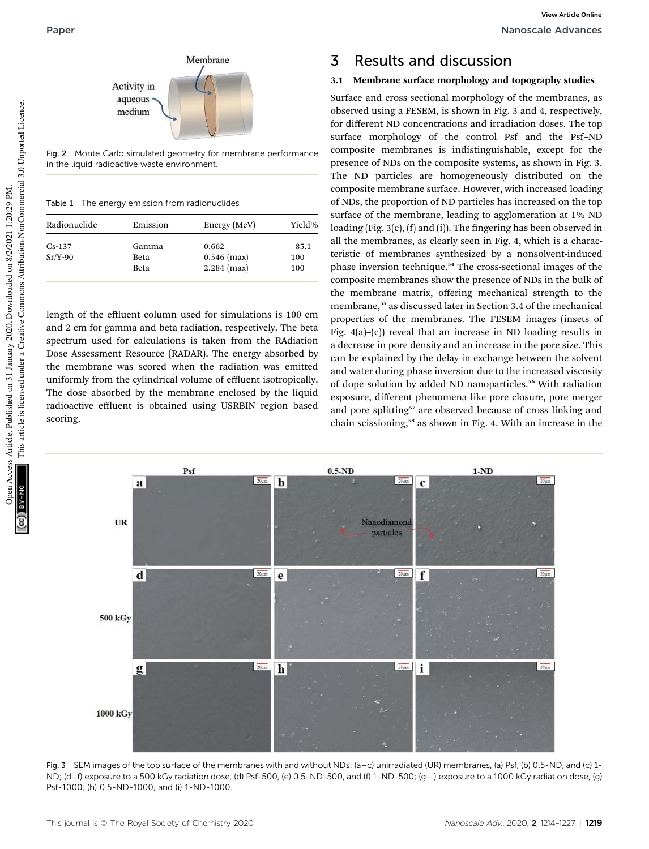

Fig. 2 Monte Carlo simulated geometry for membrane performance in the liquid radioactive waste environment.

Table 1 The energy emission from radionuclides

| Radionuclide | Emission | Energy (MeV)  | Yield% |  |
|--------------|----------|---------------|--------|--|
| $Cs-137$     | Gamma    | 0.662         | 85.1   |  |
| $Sr/Y-90$    | Beta     | $0.546$ (max) | 100    |  |
|              | Beta     | $2.284$ (max) | 100    |  |

length of the effluent column used for simulations is 100 cm and 2 cm for gamma and beta radiation, respectively. The beta spectrum used for calculations is taken from the RAdiation Dose Assessment Resource (RADAR). The energy absorbed by the membrane was scored when the radiation was emitted uniformly from the cylindrical volume of effluent isotropically. The dose absorbed by the membrane enclosed by the liquid radioactive effluent is obtained using USRBIN region based scoring.

## 3 Results and discussion

#### 3.1 Membrane surface morphology and topography studies

Surface and cross-sectional morphology of the membranes, as observed using a FESEM, is shown in Fig. 3 and 4, respectively, for different ND concentrations and irradiation doses. The top surface morphology of the control Psf and the Psf–ND composite membranes is indistinguishable, except for the presence of NDs on the composite systems, as shown in Fig. 3. The ND particles are homogeneously distributed on the composite membrane surface. However, with increased loading of NDs, the proportion of ND particles has increased on the top surface of the membrane, leading to agglomeration at 1% ND loading (Fig.  $3(c)$ , (f) and (i)). The fingering has been observed in all the membranes, as clearly seen in Fig. 4, which is a characteristic of membranes synthesized by a nonsolvent-induced phase inversion technique.<sup>54</sup> The cross-sectional images of the composite membranes show the presence of NDs in the bulk of the membrane matrix, offering mechanical strength to the membrane,<sup>55</sup> as discussed later in Section 3.4 of the mechanical properties of the membranes. The FESEM images (insets of Fig. 4(a)–(c)) reveal that an increase in ND loading results in a decrease in pore density and an increase in the pore size. This can be explained by the delay in exchange between the solvent and water during phase inversion due to the increased viscosity of dope solution by added ND nanoparticles.<sup>56</sup> With radiation exposure, different phenomena like pore closure, pore merger and pore splitting<sup>57</sup> are observed because of cross linking and chain scissioning,<sup>58</sup> as shown in Fig. 4. With an increase in the



Fig. 3 SEM images of the top surface of the membranes with and without NDs: (a–c) unirradiated (UR) membranes, (a) Psf, (b) 0.5-ND, and (c) 1- ND; (d–f) exposure to a 500 kGy radiation dose, (d) Psf-500, (e) 0.5-ND-500, and (f) 1-ND-500; (g–i) exposure to a 1000 kGy radiation dose, (g) Psf-1000, (h) 0.5-ND-1000, and (i) 1-ND-1000.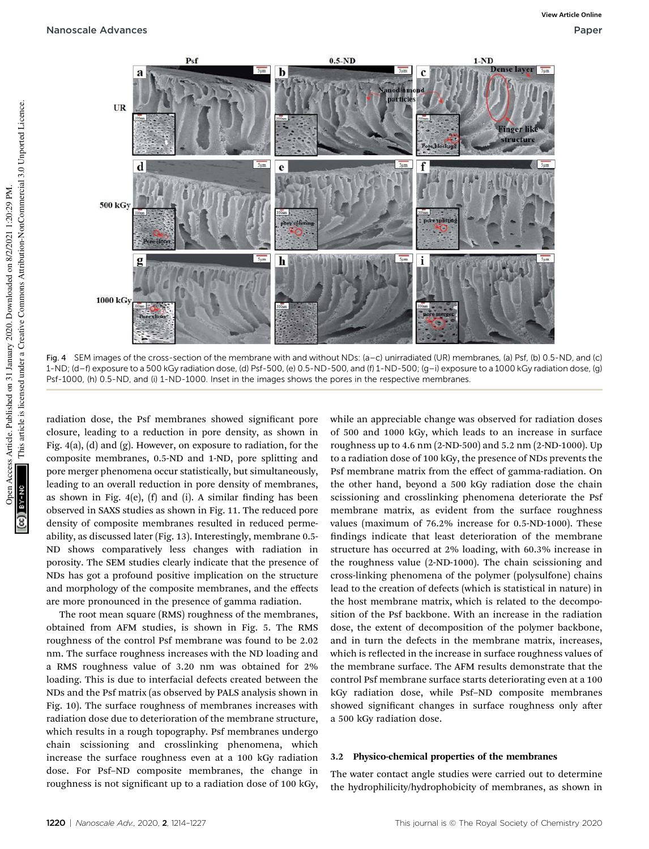

Fig. 4 SEM images of the cross-section of the membrane with and without NDs: (a–c) unirradiated (UR) membranes, (a) Psf, (b) 0.5-ND, and (c) 1-ND; (d–f) exposure to a 500 kGy radiation dose, (d) Psf-500, (e) 0.5-ND-500, and (f) 1-ND-500; (g–i) exposure to a 1000 kGy radiation dose, (g) Psf-1000, (h) 0.5-ND, and (i) 1-ND-1000. Inset in the images shows the pores in the respective membranes.

radiation dose, the Psf membranes showed signicant pore closure, leading to a reduction in pore density, as shown in Fig. 4(a), (d) and (g). However, on exposure to radiation, for the composite membranes, 0.5-ND and 1-ND, pore splitting and pore merger phenomena occur statistically, but simultaneously, leading to an overall reduction in pore density of membranes, as shown in Fig.  $4(e)$ , (f) and (i). A similar finding has been observed in SAXS studies as shown in Fig. 11. The reduced pore density of composite membranes resulted in reduced permeability, as discussed later (Fig. 13). Interestingly, membrane 0.5- ND shows comparatively less changes with radiation in porosity. The SEM studies clearly indicate that the presence of NDs has got a profound positive implication on the structure and morphology of the composite membranes, and the effects are more pronounced in the presence of gamma radiation.

The root mean square (RMS) roughness of the membranes, obtained from AFM studies, is shown in Fig. 5. The RMS roughness of the control Psf membrane was found to be 2.02 nm. The surface roughness increases with the ND loading and a RMS roughness value of 3.20 nm was obtained for 2% loading. This is due to interfacial defects created between the NDs and the Psf matrix (as observed by PALS analysis shown in Fig. 10). The surface roughness of membranes increases with radiation dose due to deterioration of the membrane structure, which results in a rough topography. Psf membranes undergo chain scissioning and crosslinking phenomena, which increase the surface roughness even at a 100 kGy radiation dose. For Psf–ND composite membranes, the change in roughness is not significant up to a radiation dose of 100 kGy,

while an appreciable change was observed for radiation doses of 500 and 1000 kGy, which leads to an increase in surface roughness up to 4.6 nm (2-ND-500) and 5.2 nm (2-ND-1000). Up to a radiation dose of 100 kGy, the presence of NDs prevents the Psf membrane matrix from the effect of gamma-radiation. On the other hand, beyond a 500 kGy radiation dose the chain scissioning and crosslinking phenomena deteriorate the Psf membrane matrix, as evident from the surface roughness values (maximum of 76.2% increase for 0.5-ND-1000). These findings indicate that least deterioration of the membrane structure has occurred at 2% loading, with 60.3% increase in the roughness value (2-ND-1000). The chain scissioning and cross-linking phenomena of the polymer (polysulfone) chains lead to the creation of defects (which is statistical in nature) in the host membrane matrix, which is related to the decomposition of the Psf backbone. With an increase in the radiation dose, the extent of decomposition of the polymer backbone, and in turn the defects in the membrane matrix, increases, which is reflected in the increase in surface roughness values of the membrane surface. The AFM results demonstrate that the control Psf membrane surface starts deteriorating even at a 100 kGy radiation dose, while Psf–ND composite membranes showed significant changes in surface roughness only after a 500 kGy radiation dose.

#### 3.2 Physico-chemical properties of the membranes

The water contact angle studies were carried out to determine the hydrophilicity/hydrophobicity of membranes, as shown in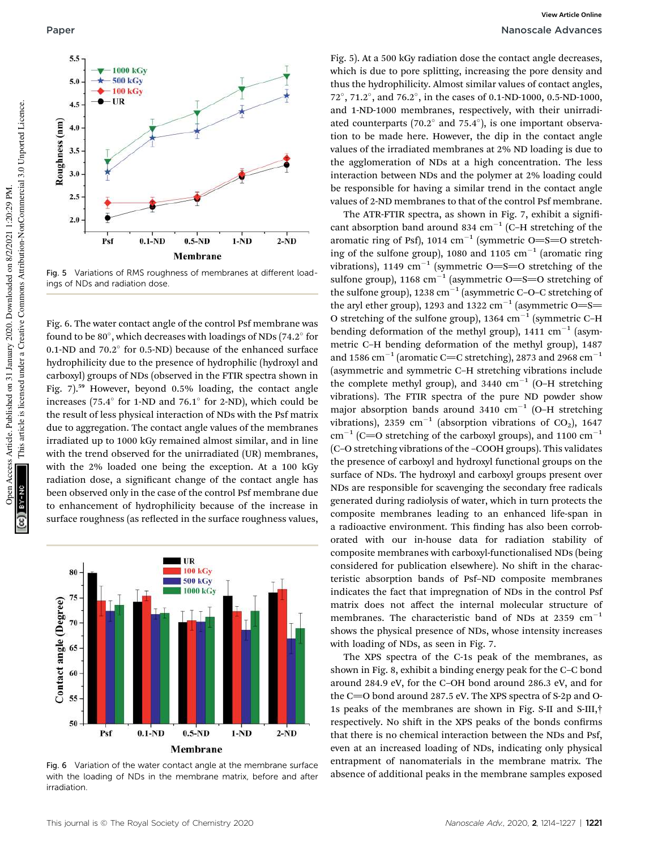

Fig. 5 Variations of RMS roughness of membranes at different loadings of NDs and radiation dose.

Fig. 6. The water contact angle of the control Psf membrane was found to be  $80^\circ$ , which decreases with loadings of NDs (74.2 $^\circ$  for 0.1-ND and  $70.2^{\circ}$  for 0.5-ND) because of the enhanced surface hydrophilicity due to the presence of hydrophilic (hydroxyl and carboxyl) groups of NDs (observed in the FTIR spectra shown in Fig. 7).<sup>59</sup> However, beyond 0.5% loading, the contact angle increases (75.4 $\textdegree$  for 1-ND and 76.1 $\textdegree$  for 2-ND), which could be the result of less physical interaction of NDs with the Psf matrix due to aggregation. The contact angle values of the membranes irradiated up to 1000 kGy remained almost similar, and in line with the trend observed for the unirradiated (UR) membranes, with the 2% loaded one being the exception. At a 100 kGy radiation dose, a significant change of the contact angle has been observed only in the case of the control Psf membrane due to enhancement of hydrophilicity because of the increase in surface roughness (as reflected in the surface roughness values,



Fig. 6 Variation of the water contact angle at the membrane surface with the loading of NDs in the membrane matrix, before and after irradiation.

Fig. 5). At a 500 kGy radiation dose the contact angle decreases, which is due to pore splitting, increasing the pore density and thus the hydrophilicity. Almost similar values of contact angles, 72 , 71.2 , and 76.2 , in the cases of 0.1-ND-1000, 0.5-ND-1000, and 1-ND-1000 membranes, respectively, with their unirradiated counterparts (70.2 $^{\circ}$  and 75.4 $^{\circ}$ ), is one important observation to be made here. However, the dip in the contact angle values of the irradiated membranes at 2% ND loading is due to the agglomeration of NDs at a high concentration. The less interaction between NDs and the polymer at 2% loading could be responsible for having a similar trend in the contact angle values of 2-ND membranes to that of the control Psf membrane.

The ATR-FTIR spectra, as shown in Fig. 7, exhibit a significant absorption band around 834  $cm^{-1}$  (C-H stretching of the aromatic ring of Psf), 1014  $cm^{-1}$  (symmetric O=S=O stretching of the sulfone group), 1080 and 1105  $cm^{-1}$  (aromatic ring vibrations), 1149  $\text{cm}^{-1}$  (symmetric O=S=O stretching of the sulfone group), 1168  $cm^{-1}$  (asymmetric O=S=O stretching of the sulfone group), 1238  $\mathrm{cm}^{-1}$  (asymmetric C-O-C stretching of the aryl ether group), 1293 and 1322  $\rm cm^{-1}$  (asymmetric O=S= O stretching of the sulfone group), 1364  $cm^{-1}$  (symmetric C-H bending deformation of the methyl group),  $1411 \text{ cm}^{-1}$  (asymmetric C–H bending deformation of the methyl group), 1487 and 1586  $\mathrm{cm}^{-1}$  (aromatic C=C stretching), 2873 and 2968  $\mathrm{cm}^{-1}$ (asymmetric and symmetric C–H stretching vibrations include the complete methyl group), and 3440  $\text{cm}^{-1}$  (O-H stretching vibrations). The FTIR spectra of the pure ND powder show major absorption bands around 3410  $cm^{-1}$  (O-H stretching vibrations), 2359  $\mathrm{cm}^{-1}$  (absorption vibrations of CO<sub>2</sub>), 1647  $\text{cm}^{-1}$  (C=O stretching of the carboxyl groups), and 1100  $\text{cm}^{-1}$ (C–O stretching vibrations of the –COOH groups). This validates the presence of carboxyl and hydroxyl functional groups on the surface of NDs. The hydroxyl and carboxyl groups present over NDs are responsible for scavenging the secondary free radicals generated during radiolysis of water, which in turn protects the composite membranes leading to an enhanced life-span in a radioactive environment. This finding has also been corroborated with our in-house data for radiation stability of composite membranes with carboxyl-functionalised NDs (being considered for publication elsewhere). No shift in the characteristic absorption bands of Psf–ND composite membranes indicates the fact that impregnation of NDs in the control Psf matrix does not affect the internal molecular structure of membranes. The characteristic band of NDs at 2359  $\text{cm}^{-1}$ shows the physical presence of NDs, whose intensity increases with loading of NDs, as seen in Fig. 7.

The XPS spectra of the C-1s peak of the membranes, as shown in Fig. 8, exhibit a binding energy peak for the C–C bond around 284.9 eV, for the C–OH bond around 286.3 eV, and for the C $=$ O bond around 287.5 eV. The XPS spectra of S-2p and O-1s peaks of the membranes are shown in Fig. S-II and S-III,† respectively. No shift in the XPS peaks of the bonds confirms that there is no chemical interaction between the NDs and Psf, even at an increased loading of NDs, indicating only physical entrapment of nanomaterials in the membrane matrix. The absence of additional peaks in the membrane samples exposed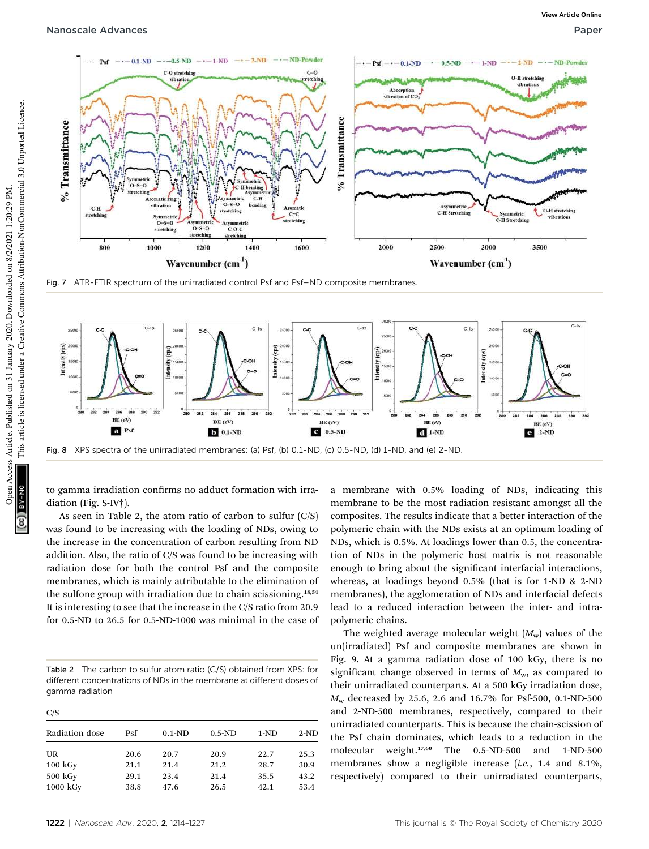

Fig. 7 ATR-FTIR spectrum of the unirradiated control Psf and Psf-ND composite membranes



to gamma irradiation confirms no adduct formation with irradiation (Fig. S-IV†).

As seen in Table 2, the atom ratio of carbon to sulfur (C/S) was found to be increasing with the loading of NDs, owing to the increase in the concentration of carbon resulting from ND addition. Also, the ratio of C/S was found to be increasing with radiation dose for both the control Psf and the composite membranes, which is mainly attributable to the elimination of the sulfone group with irradiation due to chain scissioning.<sup>18,54</sup> It is interesting to see that the increase in the C/S ratio from 20.9 for 0.5-ND to 26.5 for 0.5-ND-1000 was minimal in the case of

Table 2 The carbon to sulfur atom ratio (C/S) obtained from XPS: for different concentrations of NDs in the membrane at different doses of gamma radiation

| C/S                |            |          |          |        |        |  |
|--------------------|------------|----------|----------|--------|--------|--|
| Radiation dose     | <b>Psf</b> | $0.1-ND$ | $0.5-ND$ | $1-ND$ | $2-ND$ |  |
| UR                 | 20.6       | 20.7     | 20.9     | 22.7   | 25.3   |  |
| $100 \text{ kGy}$  | 21.1       | 21.4     | 21.2     | 28.7   | 30.9   |  |
| 500 kGy            | 29.1       | 23.4     | 21.4     | 35.5   | 43.2   |  |
| $1000 \text{ kGy}$ | 38.8       | 47.6     | 26.5     | 42.1   | 53.4   |  |

a membrane with 0.5% loading of NDs, indicating this membrane to be the most radiation resistant amongst all the composites. The results indicate that a better interaction of the polymeric chain with the NDs exists at an optimum loading of NDs, which is 0.5%. At loadings lower than 0.5, the concentration of NDs in the polymeric host matrix is not reasonable enough to bring about the significant interfacial interactions, whereas, at loadings beyond 0.5% (that is for 1-ND & 2-ND membranes), the agglomeration of NDs and interfacial defects lead to a reduced interaction between the inter- and intrapolymeric chains.

The weighted average molecular weight  $(M_w)$  values of the un(irradiated) Psf and composite membranes are shown in Fig. 9. At a gamma radiation dose of 100 kGy, there is no significant change observed in terms of  $M_{\rm w}$ , as compared to their unirradiated counterparts. At a 500 kGy irradiation dose, *M*<sup>w</sup> decreased by 25.6, 2.6 and 16.7% for Psf-500, 0.1-ND-500 and 2-ND-500 membranes, respectively, compared to their unirradiated counterparts. This is because the chain-scission of the Psf chain dominates, which leads to a reduction in the molecular weight.17,60 The 0.5-ND-500 and 1-ND-500 membranes show a negligible increase (*i.e.*, 1.4 and 8.1%, respectively) compared to their unirradiated counterparts,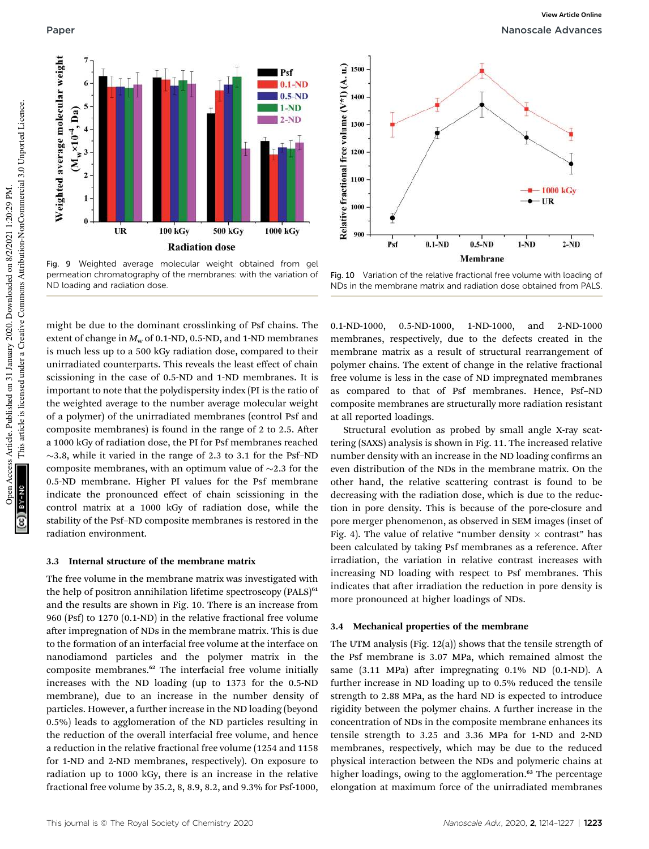

Fig. 9 Weighted average molecular weight obtained from gel permeation chromatography of the membranes: with the variation of ND loading and radiation dose.

might be due to the dominant crosslinking of Psf chains. The extent of change in  $M_w$  of 0.1-ND, 0.5-ND, and 1-ND membranes is much less up to a 500 kGy radiation dose, compared to their unirradiated counterparts. This reveals the least effect of chain scissioning in the case of 0.5-ND and 1-ND membranes. It is important to note that the polydispersity index (PI is the ratio of the weighted average to the number average molecular weight of a polymer) of the unirradiated membranes (control Psf and composite membranes) is found in the range of  $2$  to  $2.5$ . After a 1000 kGy of radiation dose, the PI for Psf membranes reached  $\sim$ 3.8, while it varied in the range of 2.3 to 3.1 for the Psf–ND composite membranes, with an optimum value of  $\sim$ 2.3 for the 0.5-ND membrane. Higher PI values for the Psf membrane indicate the pronounced effect of chain scissioning in the control matrix at a 1000 kGy of radiation dose, while the stability of the Psf–ND composite membranes is restored in the radiation environment.

#### 3.3 Internal structure of the membrane matrix

The free volume in the membrane matrix was investigated with the help of positron annihilation lifetime spectroscopy  $(PALS)^{61}$ and the results are shown in Fig. 10. There is an increase from 960 (Psf) to 1270 (0.1-ND) in the relative fractional free volume after impregnation of NDs in the membrane matrix. This is due to the formation of an interfacial free volume at the interface on nanodiamond particles and the polymer matrix in the composite membranes.<sup>62</sup> The interfacial free volume initially increases with the ND loading (up to 1373 for the 0.5-ND membrane), due to an increase in the number density of particles. However, a further increase in the ND loading (beyond 0.5%) leads to agglomeration of the ND particles resulting in the reduction of the overall interfacial free volume, and hence a reduction in the relative fractional free volume (1254 and 1158 for 1-ND and 2-ND membranes, respectively). On exposure to radiation up to 1000 kGy, there is an increase in the relative fractional free volume by 35.2, 8, 8.9, 8.2, and 9.3% for Psf-1000,



Fig. 10 Variation of the relative fractional free volume with loading of NDs in the membrane matrix and radiation dose obtained from PALS.

0.1-ND-1000, 0.5-ND-1000, 1-ND-1000, and 2-ND-1000 membranes, respectively, due to the defects created in the membrane matrix as a result of structural rearrangement of polymer chains. The extent of change in the relative fractional free volume is less in the case of ND impregnated membranes as compared to that of Psf membranes. Hence, Psf–ND composite membranes are structurally more radiation resistant at all reported loadings.

Structural evolution as probed by small angle X-ray scattering (SAXS) analysis is shown in Fig. 11. The increased relative number density with an increase in the ND loading confirms an even distribution of the NDs in the membrane matrix. On the other hand, the relative scattering contrast is found to be decreasing with the radiation dose, which is due to the reduction in pore density. This is because of the pore-closure and pore merger phenomenon, as observed in SEM images (inset of Fig. 4). The value of relative "number density  $\times$  contrast" has been calculated by taking Psf membranes as a reference. After irradiation, the variation in relative contrast increases with increasing ND loading with respect to Psf membranes. This indicates that after irradiation the reduction in pore density is more pronounced at higher loadings of NDs.

#### 3.4 Mechanical properties of the membrane

The UTM analysis (Fig. 12(a)) shows that the tensile strength of the Psf membrane is 3.07 MPa, which remained almost the same  $(3.11 \text{ MPa})$  after impregnating  $0.1\%$  ND  $(0.1-ND)$ . A further increase in ND loading up to 0.5% reduced the tensile strength to 2.88 MPa, as the hard ND is expected to introduce rigidity between the polymer chains. A further increase in the concentration of NDs in the composite membrane enhances its tensile strength to 3.25 and 3.36 MPa for 1-ND and 2-ND membranes, respectively, which may be due to the reduced physical interaction between the NDs and polymeric chains at higher loadings, owing to the agglomeration.<sup>63</sup> The percentage elongation at maximum force of the unirradiated membranes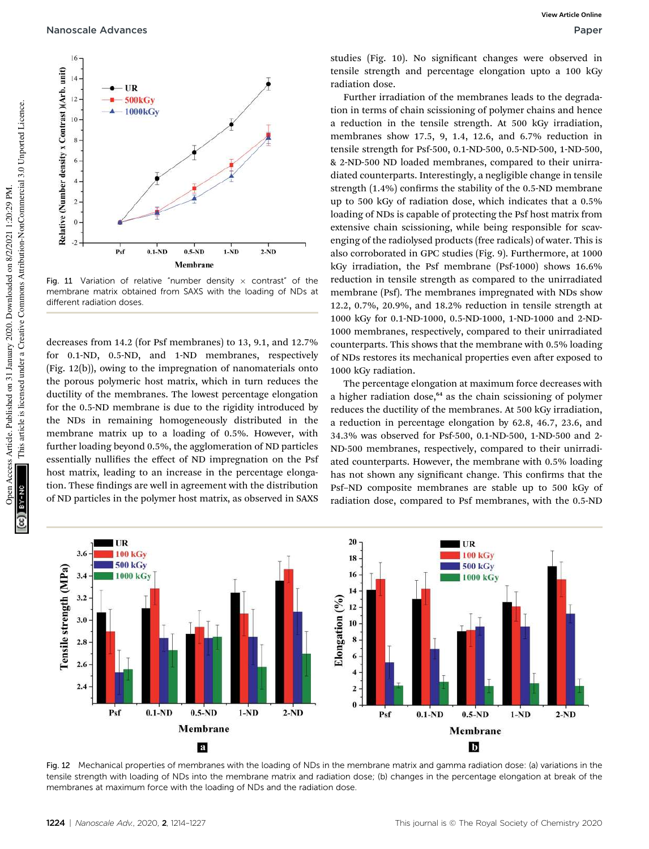Nanoscale Advances Paper



Fig. 11 Variation of relative "number density  $\times$  contrast" of the membrane matrix obtained from SAXS with the loading of NDs at different radiation doses.

decreases from 14.2 (for Psf membranes) to 13, 9.1, and 12.7% for 0.1-ND, 0.5-ND, and 1-ND membranes, respectively (Fig. 12(b)), owing to the impregnation of nanomaterials onto the porous polymeric host matrix, which in turn reduces the ductility of the membranes. The lowest percentage elongation for the 0.5-ND membrane is due to the rigidity introduced by the NDs in remaining homogeneously distributed in the membrane matrix up to a loading of 0.5%. However, with further loading beyond 0.5%, the agglomeration of ND particles essentially nullifies the effect of ND impregnation on the Psf host matrix, leading to an increase in the percentage elongation. These findings are well in agreement with the distribution of ND particles in the polymer host matrix, as observed in SAXS

studies (Fig. 10). No significant changes were observed in tensile strength and percentage elongation upto a 100 kGy radiation dose.

Further irradiation of the membranes leads to the degradation in terms of chain scissioning of polymer chains and hence a reduction in the tensile strength. At 500 kGy irradiation, membranes show 17.5, 9, 1.4, 12.6, and 6.7% reduction in tensile strength for Psf-500, 0.1-ND-500, 0.5-ND-500, 1-ND-500, & 2-ND-500 ND loaded membranes, compared to their unirradiated counterparts. Interestingly, a negligible change in tensile strength  $(1.4\%)$  confirms the stability of the 0.5-ND membrane up to 500 kGy of radiation dose, which indicates that a 0.5% loading of NDs is capable of protecting the Psf host matrix from extensive chain scissioning, while being responsible for scavenging of the radiolysed products (free radicals) of water. This is also corroborated in GPC studies (Fig. 9). Furthermore, at 1000 kGy irradiation, the Psf membrane (Psf-1000) shows 16.6% reduction in tensile strength as compared to the unirradiated membrane (Psf). The membranes impregnated with NDs show 12.2, 0.7%, 20.9%, and 18.2% reduction in tensile strength at 1000 kGy for 0.1-ND-1000, 0.5-ND-1000, 1-ND-1000 and 2-ND-1000 membranes, respectively, compared to their unirradiated counterparts. This shows that the membrane with 0.5% loading of NDs restores its mechanical properties even after exposed to 1000 kGy radiation.

The percentage elongation at maximum force decreases with a higher radiation dose,<sup>64</sup> as the chain scissioning of polymer reduces the ductility of the membranes. At 500 kGy irradiation, a reduction in percentage elongation by 62.8, 46.7, 23.6, and 34.3% was observed for Psf-500, 0.1-ND-500, 1-ND-500 and 2- ND-500 membranes, respectively, compared to their unirradiated counterparts. However, the membrane with 0.5% loading has not shown any significant change. This confirms that the Psf–ND composite membranes are stable up to 500 kGy of radiation dose, compared to Psf membranes, with the 0.5-ND



Fig. 12 Mechanical properties of membranes with the loading of NDs in the membrane matrix and gamma radiation dose: (a) variations in the tensile strength with loading of NDs into the membrane matrix and radiation dose; (b) changes in the percentage elongation at break of the membranes at maximum force with the loading of NDs and the radiation dose.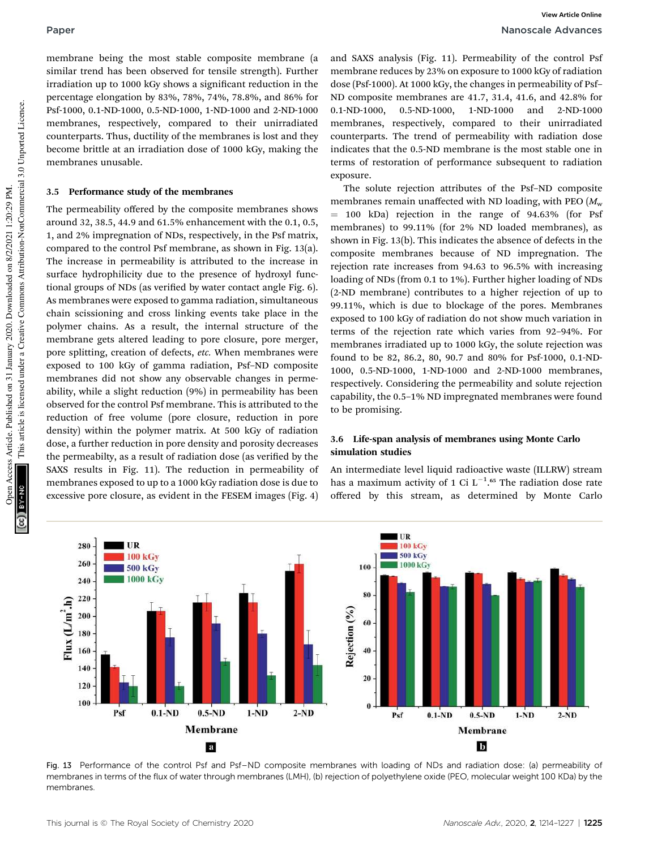membrane being the most stable composite membrane (a similar trend has been observed for tensile strength). Further irradiation up to 1000 kGy shows a significant reduction in the percentage elongation by 83%, 78%, 74%, 78.8%, and 86% for Psf-1000, 0.1-ND-1000, 0.5-ND-1000, 1-ND-1000 and 2-ND-1000 membranes, respectively, compared to their unirradiated counterparts. Thus, ductility of the membranes is lost and they become brittle at an irradiation dose of 1000 kGy, making the membranes unusable.

#### 3.5 Performance study of the membranes

The permeability offered by the composite membranes shows around 32, 38.5, 44.9 and 61.5% enhancement with the 0.1, 0.5, 1, and 2% impregnation of NDs, respectively, in the Psf matrix, compared to the control Psf membrane, as shown in Fig. 13(a). The increase in permeability is attributed to the increase in surface hydrophilicity due to the presence of hydroxyl functional groups of NDs (as verified by water contact angle Fig.  $6$ ). As membranes were exposed to gamma radiation, simultaneous chain scissioning and cross linking events take place in the polymer chains. As a result, the internal structure of the membrane gets altered leading to pore closure, pore merger, pore splitting, creation of defects, *etc.* When membranes were exposed to 100 kGy of gamma radiation, Psf–ND composite membranes did not show any observable changes in permeability, while a slight reduction (9%) in permeability has been observed for the control Psf membrane. This is attributed to the reduction of free volume (pore closure, reduction in pore density) within the polymer matrix. At 500 kGy of radiation dose, a further reduction in pore density and porosity decreases the permeabilty, as a result of radiation dose (as verified by the SAXS results in Fig. 11). The reduction in permeability of membranes exposed to up to a 1000 kGy radiation dose is due to excessive pore closure, as evident in the FESEM images (Fig. 4)

and SAXS analysis (Fig. 11). Permeability of the control Psf membrane reduces by 23% on exposure to 1000 kGy of radiation dose (Psf-1000). At 1000 kGy, the changes in permeability of Psf– ND composite membranes are 41.7, 31.4, 41.6, and 42.8% for 0.1-ND-1000, 0.5-ND-1000, 1-ND-1000 and 2-ND-1000 membranes, respectively, compared to their unirradiated counterparts. The trend of permeability with radiation dose indicates that the 0.5-ND membrane is the most stable one in terms of restoration of performance subsequent to radiation exposure.

The solute rejection attributes of the Psf–ND composite membranes remain unaffected with ND loading, with PEO  $(M<sub>w</sub>)$  $= 100$  kDa) rejection in the range of 94.63% (for Psf membranes) to 99.11% (for 2% ND loaded membranes), as shown in Fig. 13(b). This indicates the absence of defects in the composite membranes because of ND impregnation. The rejection rate increases from 94.63 to 96.5% with increasing loading of NDs (from 0.1 to 1%). Further higher loading of NDs (2-ND membrane) contributes to a higher rejection of up to 99.11%, which is due to blockage of the pores. Membranes exposed to 100 kGy of radiation do not show much variation in terms of the rejection rate which varies from 92–94%. For membranes irradiated up to 1000 kGy, the solute rejection was found to be 82, 86.2, 80, 90.7 and 80% for Psf-1000, 0.1-ND-1000, 0.5-ND-1000, 1-ND-1000 and 2-ND-1000 membranes, respectively. Considering the permeability and solute rejection capability, the 0.5–1% ND impregnated membranes were found to be promising.

### 3.6 Life-span analysis of membranes using Monte Carlo simulation studies

An intermediate level liquid radioactive waste (ILLRW) stream has a maximum activity of 1 Ci  $L^{-1}$ .<sup>65</sup> The radiation dose rate offered by this stream, as determined by Monte Carlo



Fig. 13 Performance of the control Psf and Psf–ND composite membranes with loading of NDs and radiation dose: (a) permeability of membranes in terms of the flux of water through membranes (LMH), (b) rejection of polyethylene oxide (PEO, molecular weight 100 KDa) by the membranes.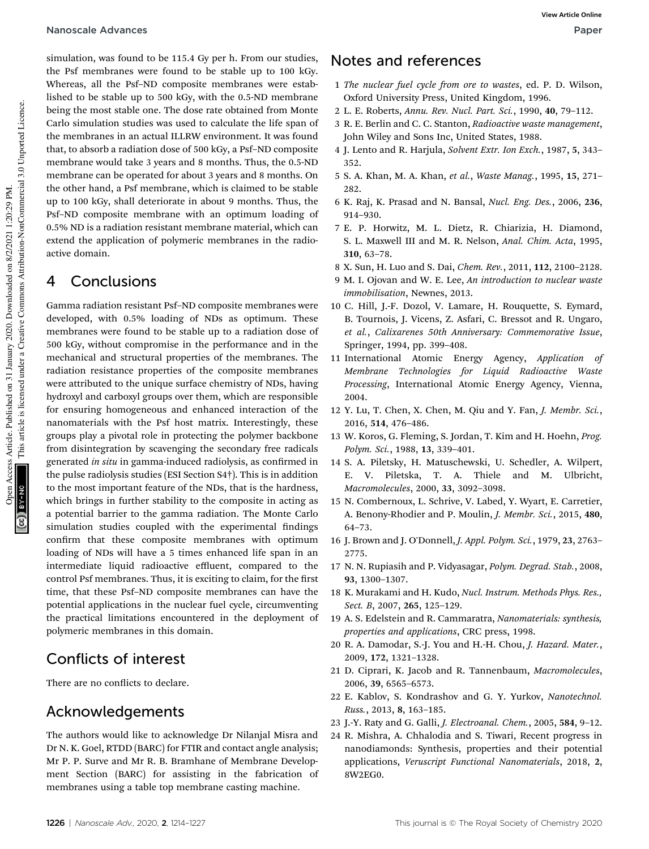#### Nanoscale Advances Paper

simulation, was found to be 115.4 Gy per h. From our studies, the Psf membranes were found to be stable up to 100 kGy. Whereas, all the Psf–ND composite membranes were established to be stable up to 500 kGy, with the 0.5-ND membrane being the most stable one. The dose rate obtained from Monte Carlo simulation studies was used to calculate the life span of the membranes in an actual ILLRW environment. It was found that, to absorb a radiation dose of 500 kGy, a Psf–ND composite membrane would take 3 years and 8 months. Thus, the 0.5-ND membrane can be operated for about 3 years and 8 months. On the other hand, a Psf membrane, which is claimed to be stable up to 100 kGy, shall deteriorate in about 9 months. Thus, the Psf–ND composite membrane with an optimum loading of 0.5% ND is a radiation resistant membrane material, which can extend the application of polymeric membranes in the radioactive domain.

## 4 Conclusions

Gamma radiation resistant Psf–ND composite membranes were developed, with 0.5% loading of NDs as optimum. These membranes were found to be stable up to a radiation dose of 500 kGy, without compromise in the performance and in the mechanical and structural properties of the membranes. The radiation resistance properties of the composite membranes were attributed to the unique surface chemistry of NDs, having hydroxyl and carboxyl groups over them, which are responsible for ensuring homogeneous and enhanced interaction of the nanomaterials with the Psf host matrix. Interestingly, these groups play a pivotal role in protecting the polymer backbone from disintegration by scavenging the secondary free radicals generated *in situ* in gamma-induced radiolysis, as confirmed in the pulse radiolysis studies (ESI Section S4†). This is in addition to the most important feature of the NDs, that is the hardness, which brings in further stability to the composite in acting as a potential barrier to the gamma radiation. The Monte Carlo simulation studies coupled with the experimental findings confirm that these composite membranes with optimum loading of NDs will have a 5 times enhanced life span in an intermediate liquid radioactive effluent, compared to the control Psf membranes. Thus, it is exciting to claim, for the first time, that these Psf–ND composite membranes can have the potential applications in the nuclear fuel cycle, circumventing the practical limitations encountered in the deployment of polymeric membranes in this domain.

## Conflicts of interest

There are no conflicts to declare.

## Acknowledgements

The authors would like to acknowledge Dr Nilanjal Misra and Dr N. K. Goel, RTDD (BARC) for FTIR and contact angle analysis; Mr P. P. Surve and Mr R. B. Bramhane of Membrane Development Section (BARC) for assisting in the fabrication of membranes using a table top membrane casting machine.

## Notes and references

- 1 *The nuclear fuel cycle from ore to wastes*, ed. P. D. Wilson, Oxford University Press, United Kingdom, 1996.
- 2 L. E. Roberts, *Annu. Rev. Nucl. Part. Sci.*, 1990, 40, 79–112.
- 3 R. E. Berlin and C. C. Stanton, *Radioactive waste management*, John Wiley and Sons Inc, United States, 1988.
- 4 J. Lento and R. Harjula, *Solvent Extr. Ion Exch.*, 1987, 5, 343– 352.
- 5 S. A. Khan, M. A. Khan, *et al.*, *Waste Manag.*, 1995, 15, 271– 282.
- 6 K. Raj, K. Prasad and N. Bansal, *Nucl. Eng. Des.*, 2006, 236, 914–930.
- 7 E. P. Horwitz, M. L. Dietz, R. Chiarizia, H. Diamond, S. L. Maxwell III and M. R. Nelson, *Anal. Chim. Acta*, 1995, 310, 63–78.
- 8 X. Sun, H. Luo and S. Dai, *Chem. Rev.*, 2011, 112, 2100–2128.
- 9 M. I. Ojovan and W. E. Lee, *An introduction to nuclear waste immobilisation*, Newnes, 2013.
- 10 C. Hill, J.-F. Dozol, V. Lamare, H. Rouquette, S. Eymard, B. Tournois, J. Vicens, Z. Asfari, C. Bressot and R. Ungaro, *et al.*, *Calixarenes 50th Anniversary: Commemorative Issue*, Springer, 1994, pp. 399–408.
- 11 International Atomic Energy Agency, *Application of Membrane Technologies for Liquid Radioactive Waste Processing*, International Atomic Energy Agency, Vienna, 2004.
- 12 Y. Lu, T. Chen, X. Chen, M. Qiu and Y. Fan, *J. Membr. Sci.*, 2016, 514, 476–486.
- 13 W. Koros, G. Fleming, S. Jordan, T. Kim and H. Hoehn, *Prog. Polym. Sci.*, 1988, 13, 339–401.
- 14 S. A. Piletsky, H. Matuschewski, U. Schedler, A. Wilpert, E. V. Piletska, T. A. Thiele and M. Ulbricht, *Macromolecules*, 2000, 33, 3092–3098.
- 15 N. Combernoux, L. Schrive, V. Labed, Y. Wyart, E. Carretier, A. Benony-Rhodier and P. Moulin, *J. Membr. Sci.*, 2015, 480, 64–73.
- 16 J. Brown and J. O'Donnell, *J. Appl. Polym. Sci.*, 1979, 23, 2763– 2775.
- 17 N. N. Rupiasih and P. Vidyasagar, *Polym. Degrad. Stab.*, 2008, 93, 1300–1307.
- 18 K. Murakami and H. Kudo, *Nucl. Instrum. Methods Phys. Res., Sect. B*, 2007, 265, 125–129.
- 19 A. S. Edelstein and R. Cammaratra, *Nanomaterials: synthesis, properties and applications*, CRC press, 1998.
- 20 R. A. Damodar, S.-J. You and H.-H. Chou, *J. Hazard. Mater.*, 2009, 172, 1321–1328.
- 21 D. Ciprari, K. Jacob and R. Tannenbaum, *Macromolecules*, 2006, 39, 6565–6573.
- 22 E. Kablov, S. Kondrashov and G. Y. Yurkov, *Nanotechnol. Russ.*, 2013, 8, 163–185.
- 23 J.-Y. Raty and G. Galli, *J. Electroanal. Chem.*, 2005, 584, 9–12.
- 24 R. Mishra, A. Chhalodia and S. Tiwari, Recent progress in nanodiamonds: Synthesis, properties and their potential applications, *Veruscript Functional Nanomaterials*, 2018, 2, 8W2EG0.